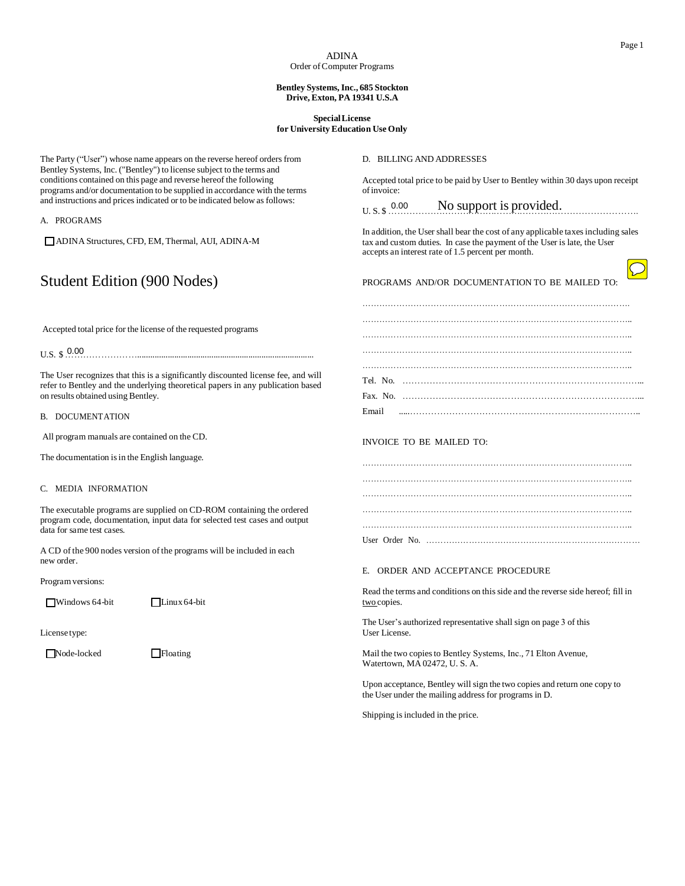## **Bentley Systems,Inc., 685 Stockton Drive, Exton, PA 19341 U.S.A**

## **SpecialLicense for University Education Use Only**

The Party ("User") whose name appears on the reverse hereof orders from Bentley Systems, Inc. ("Bentley") to license subject to the terms and conditions contained on this page and reverse hereof the following programs and/or documentation to be supplied in accordance with the terms and instructions and prices indicated or to be indicated below as follows: A. PROGRAMS ADINA Structures, CFD, EM, Thermal, AUI, ADINA-M Student Edition (900 Nodes) Accepted total price for the license of the requested programs U.S. \$ 0.00 The User recognizes that this is a significantly discounted license fee, and will refer to Bentley and the underlying theoretical papers in any publication based on results obtained using Bentley. B. DOCUMENTATION All program manuals are contained on the CD. The documentation is in the English language. C. MEDIA INFORMATION The executable programs are supplied on CD-ROM containing the ordered program code, documentation, input data for selected test cases and output data for same test cases. A CD of the 900 nodes version of the programs will be included in each new order. Programversions: Windows 64-bit Linux 64-bit Licensetype: Node-locked Floating D. BILLING AND ADDRESSES Accepted total price to be paid by User to Bentley within 30 days upon receipt ofinvoice: U. S. \$ ………………N…o…s…u…pp…o…rt…i…s …pr…o…vi…d…ed….……………………. In addition, the User shall bear the cost of any applicable taxesincluding sales tax and custom duties. In case the payment of the User is late, the User accepts an interest rate of 1.5 percent per month. PROGRAMS AND/OR DOCUMENTATION TO BE MAILED TO: …………………………………………………………………………………. ………………………………………………………………………………….. ………………………………………………………………………………….. ………………………………………………………………………………….. ………………………………………………………………………………….. Tel. No. ……………………………………………………………………... Fax. No. ……………………………………………………………………... Email .....………………………………………………………………….. INVOICE TO BE MAILED TO: ………………………………………………………………………………….. ………………………………………………………………………………….. ………………………………………………………………………………….. ………………………………………………………………………………….. User Order No. ………………………………………………………………… E. ORDER AND ACCEPTANCE PROCEDURE Read the terms and conditions on thisside and the reverse side hereof; fill in two copies. The User's authorized representative shall sign on page 3 of this User License. Mail the two copies to Bentley Systems, Inc., 71 Elton Avenue, Watertown, MA 02472, U. S. A. Upon acceptance, Bentley will sign the two copies and return one copy to the User under the mailing address for programs in D. Shipping is included in the price. DGRAMS<br>
DINA Structures, CFD, EM, Thermal, AUI, ADINA-M<br>
In addition, the state of the Higgs and Control of the state of the requested programs<br>
ed total price for the license of the requested programs<br>
0.00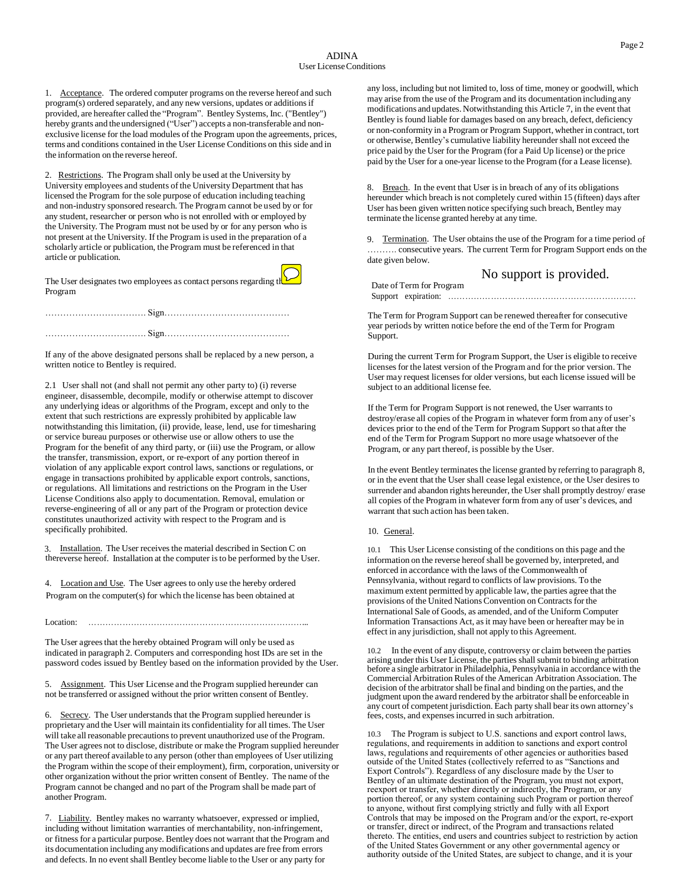1. Acceptance. The ordered computer programs on the reverse hereof and such program(s) ordered separately, and any new versions, updates or additionsif provided, are hereafter called the "Program". Bentley Systems, Inc. ("Bentley") hereby grants and the undersigned ("User") accepts a non-transferable and nonexclusive license for the load modules of the Program upon the agreements, prices, terms and conditions contained in the User License Conditions on this side and in the information on the reverse hereof.

2. Restrictions. The Program shall only be used at the University by University employees and students of the University Department that has licensed the Program for the sole purpose of education including teaching and non-industry sponsored research. The Program cannot be used by or for any student, researcher or person who is not enrolled with or employed by the University. The Program must not be used by or for any person who is not present at the University. If the Program is used in the preparation of a scholarly article or publication, the Program must be referenced in that article or publication.

The User designates two employees as contact persons regarding the Program

If any of the above designated persons shall be replaced by a new person, a written notice to Bentley is required.

2.1 User shall not (and shall not permit any other party to) (i) reverse engineer, disassemble, decompile, modify or otherwise attempt to discover any underlying ideas or algorithms of the Program, except and only to the extent that such restrictions are expressly prohibited by applicable law notwithstanding this limitation, (ii) provide, lease, lend, use for timesharing or service bureau purposes or otherwise use or allow others to use the Program for the benefit of any third party, or (iii) use the Program, or allow the transfer, transmission, export, or re-export of any portion thereof in violation of any applicable export control laws, sanctions or regulations, or engage in transactions prohibited by applicable export controls, sanctions, or regulations. All limitations and restrictions on the Program in the User License Conditions also apply to documentation. Removal, emulation or reverse-engineering of all or any part of the Program or protection device constitutes unauthorized activity with respect to the Program and is specifically prohibited.

Installation. The User receives the material described in Section C on thereverse hereof. Installation at the computer is to be performed by the User.

4. Location and Use. The User agrees to only use the hereby ordered Program on the computer(s) for which the license has been obtained at

Location: …………………………………………………………………...

The User agrees that the hereby obtained Program will only be used as indicated in paragraph 2. Computers and corresponding host IDs are set in the password codes issued by Bentley based on the information provided by the User.

Assignment. This User License and the Program supplied hereunder can not be transferred or assigned without the prior written consent of Bentley.

6. Secrecy. The User understands that the Program supplied hereunder is proprietary and the User will maintain its confidentiality for all times. The User will take all reasonable precautions to prevent unauthorized use of the Program. The User agrees not to disclose, distribute or make the Program supplied hereunder or any part thereof available to any person (other than employees of User utilizing the Program within the scope of their employment), firm, corporation, university or other organization without the prior written consent of Bentley. The name of the Program cannot be changed and no part of the Program shall be made part of another Program.

7. Liability. Bentley makes no warranty whatsoever, expressed or implied, including without limitation warranties of merchantability, non-infringement, or fitness for a particular purpose. Bentley does not warrant that the Program and its documentation including any modifications and updates are free from errors and defects. In no event shall Bentley become liable to the User or any party for

any loss, including but not limited to, loss of time, money or goodwill, which may arise from the use of the Program and its documentation including any modifications and updates. Notwithstanding this Article 7, in the event that Bentley is found liable for damages based on any breach, defect, deficiency or non-conformity in a Program or Program Support, whether in contract, tort or otherwise, Bentley's cumulative liability hereunder shall not exceed the price paid by the User for the Program (for a Paid Up license) or the price paid by the User for a one-year license to the Program (for a Lease license).

8. Breach. In the event that User is in breach of any of its obligations hereunder which breach is not completely cured within 15 (fifteen) days after User has been given written notice specifying such breach, Bentley may terminate the license granted hereby at any time.

9. Termination. The User obtains the use of the Program for a time period of ………. consecutive years. The current Term for Program Support ends on the date given below.

|                          | No support is provided. |  |
|--------------------------|-------------------------|--|
| Date of Term for Program |                         |  |
|                          |                         |  |

The Term for Program Support can be renewed thereafter for consecutive year periods by written notice before the end of the Term for Program Support.

During the current Term for Program Support, the User is eligible to receive licenses for the latest version of the Program and for the prior version. The User may request licenses for older versions, but each license issued will be subject to an additional license fee.

If the Term for Program Support is not renewed, the User warrants to destroy/erase all copies of the Program in whatever form from any of user's devices prior to the end of the Term for Program Support so that after the end of the Term for Program Support no more usage whatsoever of the Program, or any part thereof, is possible by the User.

In the event Bentley terminates the license granted by referring to paragraph 8, or in the event that the User shall cease legal existence, or the User desires to surrender and abandon rights hereunder, the User shall promptly destroy/ erase all copies of the Program in whatever form from any of user's devices, and warrant that such action has been taken.

10. General.

10.1 This User License consisting of the conditions on this page and the information on the reverse hereof shall be governed by, interpreted, and enforced in accordance with the laws of the Commonwealth of Pennsylvania, without regard to conflicts of law provisions. To the maximum extent permitted by applicable law, the parties agree that the provisions of the United Nations Convention on Contracts for the International Sale of Goods, as amended, and of the Uniform Computer Information Transactions Act, as it may have been or hereafter may be in effect in any jurisdiction, shall not apply to this Agreement.

10.2 In the event of any dispute, controversy or claim between the parties arising under this User License, the parties shall submit to binding arbitration before a single arbitrator in Philadelphia, Pennsylvania in accordance with the Commercial Arbitration Rules of the American Arbitration Association. The decision of the arbitrator shall be final and binding on the parties, and the judgment upon the award rendered by the arbitrator shall be enforceable in any court of competent jurisdiction. Each party shall bear its own attorney's fees, costs, and expensesincurred in such arbitration.

10.3 The Program is subject to U.S. sanctions and export control laws, regulations, and requirements in addition to sanctions and export control laws, regulations and requirements of other agencies or authorities based outside of the United States (collectively referred to as "Sanctions and Export Controls"). Regardless of any disclosure made by the User to Bentley of an ultimate destination of the Program, you must not export, reexport or transfer, whether directly or indirectly, the Program, or any portion thereof, or any system containing such Program or portion thereof to anyone, without first complying strictly and fully with all Export Controls that may be imposed on the Program and/or the export, re-export or transfer, direct or indirect, of the Program and transactions related thereto. The entities, end users and countries subject to restriction by action of the United States Government or any other governmental agency or authority outside of the United States, are subject to change, and it is your